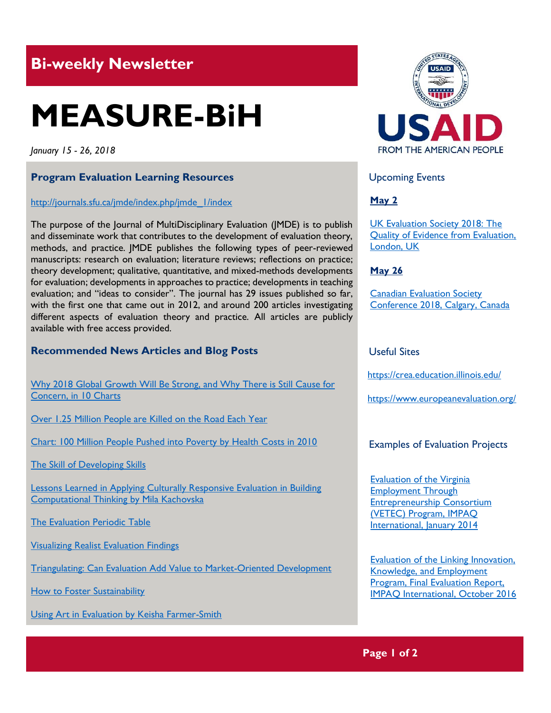## **Bi-weekly Newsletter**

# **MEASURE-BiH**

*January 15 - 26, 2018*

#### **Program Evaluation Learning Resources**

#### http://journals.sfu.ca/jmde/index.php/jmde\_1/index

The purpose of the Journal of MultiDisciplinary Evaluation (JMDE) is to publish and disseminate work that contributes to the development of evaluation theory, methods, and practice. JMDE publishes the following types of peer-reviewed manuscripts: research on evaluation; literature reviews; reflections on practice; theory development; qualitative, quantitative, and mixed-methods developments for evaluation; developments in approaches to practice; developments in teaching evaluation; and "ideas to consider". The journal has 29 issues published so far, with the first one that came out in 2012, and around 200 articles investigating different aspects of evaluation theory and practice. All articles are publicly available with free access provided.

#### **Recommended News Articles and Blog Posts**

[Why 2018 Global Growth Will Be Strong, and Why There is Still Cause for](http://blogs.worldbank.org/developmenttalk/why-2018-global-growth-will-be-strong-and-why-there-still-cause-concern-10-charts)  [Concern, in 10 Charts](http://blogs.worldbank.org/developmenttalk/why-2018-global-growth-will-be-strong-and-why-there-still-cause-concern-10-charts)

[Over 1.25 Million People are Killed on the Road Each Year](http://blogs.worldbank.org/opendata/over-125-million-people-are-killed-road-each-year)

[Chart: 100 Million People Pushed into Poverty by Health Costs in 2010](http://blogs.worldbank.org/opendata/chart-100-million-people-pushed-poverty-health-costs-2010)

[The Skill of Developing Skills](http://blogs.worldbank.org/developmenttalk/skill-developing-skills)

[Lessons Learned in Applying Culturally Responsive Evaluation in Building](http://aea365.org/blog/become-week-lessons-learned-in-applying-culturally-responsive-evaluation-in-building-computational-thinking-by-mila-kachovska/?utm_source=feedburner&utm_medium=feed&utm_campaign=Feed%3A+aea365+%28AEA365%29)  [Computational Thinking by Mila Kachovska](http://aea365.org/blog/become-week-lessons-learned-in-applying-culturally-responsive-evaluation-in-building-computational-thinking-by-mila-kachovska/?utm_source=feedburner&utm_medium=feed&utm_campaign=Feed%3A+aea365+%28AEA365%29)

[The Evaluation Periodic Table](http://www.saravaca.com/project/evaluation-periodic-table/?platform=hootsuite)

[Visualizing Realist Evaluation Findings](http://www.saravaca.com/project/visualizing-realist-evaluation-findings/)

[Triangulating: Can Evaluation Add Value to Market-Oriented Development](https://www.europeanevaluation.org/ees-blogs/riitta-oksanen/triangulating-can-evaluation-add-value-market-oriented-development)

[How to Foster Sustainability](https://www.europeanevaluation.org/ees-blogs/jindra-cekanova/how-foster-sustainability)

[Using Art in Evaluation by Keisha Farmer-Smith](http://aea365.org/blog/18251-2/?utm_source=feedburner&utm_medium=feed&utm_campaign=Feed%3A+aea365+%28AEA365%29)



Upcoming Events

#### **May 2**

[UK Evaluation Society 2018: The](http://mande.co.uk/conferences/?event_id1=40)  [Quality of Evidence from Evaluation,](http://mande.co.uk/conferences/?event_id1=40)  [London, UK](http://mande.co.uk/conferences/?event_id1=40)

#### **May 26**

[Canadian Evaluation Society](http://mande.co.uk/conferences/?event_id1=38)  [Conference 2018, Calgary, Canada](http://mande.co.uk/conferences/?event_id1=38)

#### Useful Sites

<https://crea.education.illinois.edu/>

https://www.europeanevaluation.org/

#### Examples of Evaluation Projects

[Evaluation of the Virginia](http://www.impaqint.com/sites/default/files/files/VETEC%20ROI%20Report%2001132014.pdfhttp:/www.impaqint.com/sites/default/files/files/VETEC%20ROI%20Report%2001132014.pdf)  [Employment Through](http://www.impaqint.com/sites/default/files/files/VETEC%20ROI%20Report%2001132014.pdfhttp:/www.impaqint.com/sites/default/files/files/VETEC%20ROI%20Report%2001132014.pdf)  [Entrepreneurship Consortium](http://www.impaqint.com/sites/default/files/files/VETEC%20ROI%20Report%2001132014.pdfhttp:/www.impaqint.com/sites/default/files/files/VETEC%20ROI%20Report%2001132014.pdf)  [\(VETEC\) Program, IMPAQ](http://www.impaqint.com/sites/default/files/files/VETEC%20ROI%20Report%2001132014.pdfhttp:/www.impaqint.com/sites/default/files/files/VETEC%20ROI%20Report%2001132014.pdf)  [International, January 2014](http://www.impaqint.com/sites/default/files/files/VETEC%20ROI%20Report%2001132014.pdfhttp:/www.impaqint.com/sites/default/files/files/VETEC%20ROI%20Report%2001132014.pdf)

Evaluation [of the Linking Innovation,](http://www.impaqint.com/sites/default/files/files/%40LIKE%20Final%20Evaluation%20Report%20508-compliant.pdf)  [Knowledge, and Employment](http://www.impaqint.com/sites/default/files/files/%40LIKE%20Final%20Evaluation%20Report%20508-compliant.pdf)  [Program, Final Evaluation Report,](http://www.impaqint.com/sites/default/files/files/%40LIKE%20Final%20Evaluation%20Report%20508-compliant.pdf)  [IMPAQ International, October 2016](http://www.impaqint.com/sites/default/files/files/%40LIKE%20Final%20Evaluation%20Report%20508-compliant.pdf)

**Page 1 of 2**